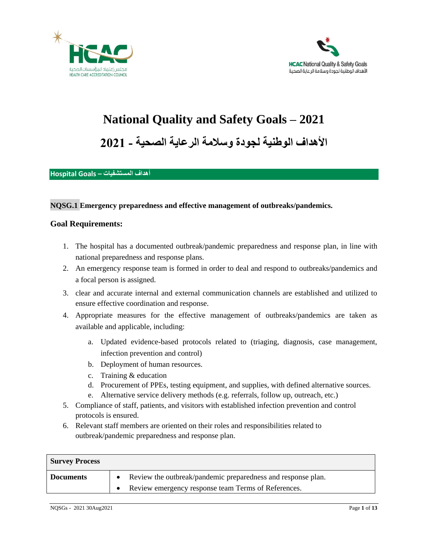



# **National Quality and Safety Goals – 2021**

**األهداف الوطنية لجودة وسالمة الرعاية الصحية - 2021**

#### **أهداف المستشفيات – Goals Hospital**

#### **NQSG.1 Emergency preparedness and effective management of outbreaks/pandemics.**

- 1. The hospital has a documented outbreak/pandemic preparedness and response plan, in line with national preparedness and response plans.
- 2. An emergency response team is formed in order to deal and respond to outbreaks/pandemics and a focal person is assigned.
- 3. clear and accurate internal and external communication channels are established and utilized to ensure effective coordination and response.
- 4. Appropriate measures for the effective management of outbreaks/pandemics are taken as available and applicable, including:
	- a. Updated evidence-based protocols related to (triaging, diagnosis, case management, infection prevention and control)
	- b. Deployment of human resources.
	- c. Training & education
	- d. Procurement of PPEs, testing equipment, and supplies, with defined alternative sources.
	- e. Alternative service delivery methods (e.g. referrals, follow up, outreach, etc.)
- 5. Compliance of staff, patients, and visitors with established infection prevention and control protocols is ensured.
- 6. Relevant staff members are oriented on their roles and responsibilities related to outbreak/pandemic preparedness and response plan.

| <b>Survey Process</b> |                                                              |
|-----------------------|--------------------------------------------------------------|
| <b>Documents</b>      | Review the outbreak/pandemic preparedness and response plan. |
|                       | Review emergency response team Terms of References.          |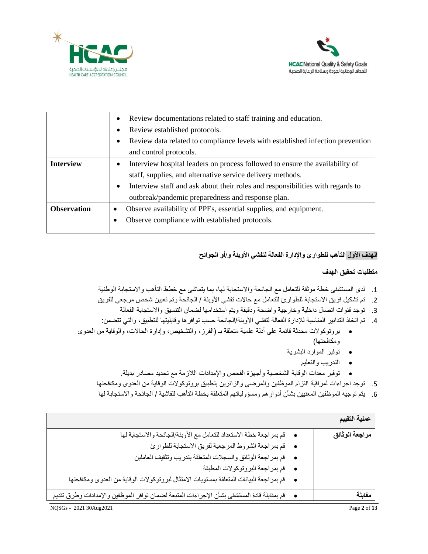



|                    | Review documentations related to staff training and education.<br>٠                         |  |  |  |
|--------------------|---------------------------------------------------------------------------------------------|--|--|--|
|                    | Review established protocols.<br>٠                                                          |  |  |  |
|                    | Review data related to compliance levels with established infection prevention<br>٠         |  |  |  |
|                    | and control protocols.                                                                      |  |  |  |
| <b>Interview</b>   | Interview hospital leaders on process followed to ensure the availability of<br>٠           |  |  |  |
|                    | staff, supplies, and alternative service delivery methods.                                  |  |  |  |
|                    | Interview staff and ask about their roles and responsibilities with regards to<br>$\bullet$ |  |  |  |
|                    | outbreak/pandemic preparedness and response plan.                                           |  |  |  |
| <b>Observation</b> | Observe availability of PPEs, essential supplies, and equipment.<br>٠                       |  |  |  |
|                    | Observe compliance with established protocols.<br>٠                                         |  |  |  |
|                    |                                                                                             |  |  |  |

# **الهدف األول التأهب للطوارئ واإلدارة الفعالة لتفشي األوبئة و/أو الجوائح**

- .1 لدى المستشفى خطة موثقة للتعامل مع الجائحة واالستجابة لها، بما يتماشى مع خطط التأهب واالستجابة الوطنية
- 2. تم تشكيل فريق الاستجابة للطوارئ للتعامل مع حالات تفشي الأوبئة / الجائحة وتم تعيين شخص مرجعي للفريق
	- .3 توجد قنوات اتصال داخلية وخارجية واضحة ودقيقة ويتم استخدامها لضمان التنسيق واالستجابة الفعالة
- .4 تم اتخاذ التدابير المناسبة لإلدارة الفعالة لتفشي األوبئة/الجائحة حسب توافرها وقابليتها للتطبيق، والتي تتضمن:
- بروتوكوالت محدثة قائمة على أدلة علمية متعلقة بـ )الفرز، والتشخيص، وإدارة الحاالت، والوقاية من العدوى ومكافحتها(
	- توفير الموارد البشرية
		- التدريب والتعليم
	- توفير معدات الوقاية الشخصية وأجهزة الفحص واإلمدادات الالزمة مع تحديد مصادر بديلة.
	- .5 توجد اجراءات لمراقبة التزام الموظفين والمرضى والزائرين بتطبيق بروتوكوالت الوقاية من العدوى ومكافحتها
	- .6 يتم توجيه الموظفين المعنيين بشأن أدوارهم ومسؤولياتهم المتعلقة بخطة التأهب للفاشية / الجائحة واالستجابة لها

|                                                                                                   | عملية التقييم  |
|---------------------------------------------------------------------------------------------------|----------------|
| • قم بمراجعة خطة الاستعداد للتعامل مع الأوبئة/الجائحة والاستجابة لها                              | مراجعة الوثائق |
| • قم بمراجعة الشروط المرجعية لفريق الاستجابة للطوارئ                                              |                |
| • قم بمراجعة الوثائق والسجلات المتعلقة بتدريب وتثقيف العاملين                                     |                |
| • قم بمراجعة البرونوكولات المطبقة                                                                 |                |
| ·      قم بمراجعة البيانات المنعلقة بمستويات الامتثال لبروتوكولات الوقاية من العدوى ومكافحتها     |                |
| •      قم بمقابلة قادة المستشفى بشأن الإجراءات المنبعة لضمان توافر الموظفين والإمدادات وطرق تقديم | مقابلة         |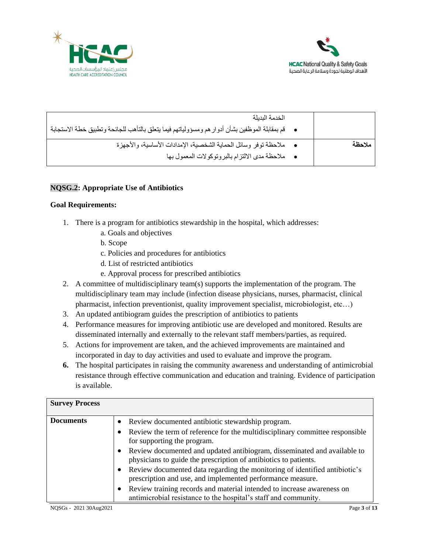



| الخدمة البدبلة<br>•      قم بمقابلة الموظفين بشأن أدوار هم ومسؤولياتهم فيما يتعلق بالتأهب للجائحة وتطبيق خطة الاستجابة |        |
|------------------------------------------------------------------------------------------------------------------------|--------|
| • ملاحظة توفر وسائل الحماية الشخصية، الإمدادات الأساسية، والأجهزة<br>• ملاحظة مدى الالتزام بالبروتوكولات المعمول بها   | ملاحظة |

## **NQSG.2: Appropriate Use of Antibiotics**

- 1. There is a program for antibiotics stewardship in the hospital, which addresses:
	- a. Goals and objectives
	- b. Scope
	- c. Policies and procedures for antibiotics
	- d. List of restricted antibiotics
	- e. Approval process for prescribed antibiotics
- 2. A committee of multidisciplinary team(s) supports the implementation of the program. The multidisciplinary team may include (infection disease physicians, nurses, pharmacist, clinical pharmacist, infection preventionist, quality improvement specialist, microbiologist, etc…)
- 3. An updated antibiogram guides the prescription of antibiotics to patients
- 4. Performance measures for improving antibiotic use are developed and monitored. Results are disseminated internally and externally to the relevant staff members/parties, as required.
- 5. Actions for improvement are taken, and the achieved improvements are maintained and incorporated in day to day activities and used to evaluate and improve the program.
- **6.** The hospital participates in raising the community awareness and understanding of antimicrobial resistance through effective communication and education and training. Evidence of participation is available.

| <b>Survey Process</b> |                                                                                                                                                                                                                                                                                                                                                                                     |
|-----------------------|-------------------------------------------------------------------------------------------------------------------------------------------------------------------------------------------------------------------------------------------------------------------------------------------------------------------------------------------------------------------------------------|
| <b>Documents</b>      | Review documented antibiotic stewardship program.<br>$\bullet$<br>Review the term of reference for the multidisciplinary committee responsible<br>$\bullet$<br>for supporting the program.<br>Review documented and updated antibiogram, disseminated and available to<br>$\bullet$                                                                                                 |
|                       | physicians to guide the prescription of antibiotics to patients.<br>Review documented data regarding the monitoring of identified antibiotic's<br>$\bullet$<br>prescription and use, and implemented performance measure.<br>Review training records and material intended to increase awareness on<br>$\bullet$<br>antimicrobial resistance to the hospital's staff and community. |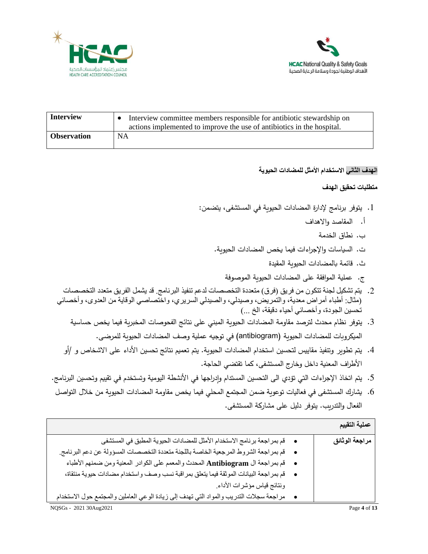



| <b>Interview</b>   | Interview committee members responsible for antibiotic stewardship on<br>actions implemented to improve the use of antibiotics in the hospital. |
|--------------------|-------------------------------------------------------------------------------------------------------------------------------------------------|
| <b>Observation</b> | <b>NA</b>                                                                                                                                       |

## **الهدف الثاني االستخدام األمثل للمضادات الحيوية**

- .1 يتوفر برنامج إلدارة المضادات الحيوية في المستشفى، يتضمن:
	- أ. المقاصد واالهداف
		- ب. نطاق الخدمة
	- ت. السياسات و اإلجراءات فيما يخص المضادات الحيوية.
		- ث. قائمة بالمضادات الحيوية المقيدة
		- ج. عملية الموافقة على المضادات الحيوية الموصوفة
- 2. يتم تشكيل لجنة تتكون من فريق (فرق) متعددة التخصصات لدعم تنفيذ البرنامج. قد يشمل الفريق متعدد التخصصات )مثال: أطباء أمراض معدية، والتمريض، وصيدلي، والصيدلي السريري، واختصاصي الوقاية من العدوى، وأخصائي تُحسين الجودة، وأخصائي أحياء دقيقة، الخ ...)
	- .3 يتوفر نظام محدث لترصد مقاومة المضادات الحيوية المبني على نتائج الفحوصات المخبرية فيما يخص حساسية الميكروبات للمضادات الحيوية (antibiogram )في توجيه عملية وصف المضادات الحيوية للمرضى.
	- .4 يتم تطوير وتنفيذ مقاييس لتحسين استخدام المضادات الحيوية. يتم تعميم نتائج تحسين األداء على االشخاص و /أو األطراف المعنية داخل وخارج المستشفى، كما تقتضي الحاجة.
- 5. يتم اتخاذ الإجراءات التي تؤدي الى التحسين المستدام وإدراجها في الأنشطة اليومية وتستخدم في تقييم وتحسين البرنامج.
- .6 يشارك المستشفى في فعاليات توعوية ضمن المجتمع المحلي فيما يخص مقاومة المضادات الحيوية من خالل التواصل الفعال والتدريب. يتوفر دليل على مشاركة المستشفى.

|                                                                                             | عملية التقييم  |
|---------------------------------------------------------------------------------------------|----------------|
| •      قم بمر اجعة بر نامج الاستخدام الأمثل للمضادات الحيوية المطبق في المستشفى             | مراجعة الوثائق |
| • قم بمراجعة الشروط المرجعية الخاصة باللجنة متعددة التخصصات المسؤولة عن دعم البرنامج.       |                |
| • قم بمراجعة ال Antibiogram المحدث والمعمم على الكوادر المعنية ومن ضمنهم الأطباء            |                |
| ●     قم بمر اجعة البيانات الموثقة فيما يتعلق بمراقبة نسب وصف واستخدام مضادات حيوية منتقاة، |                |
| ونتائج قياس مؤشرات الأداء                                                                   |                |
| مراجعة سجلات التدريب والمواد التي تهدف إلى زيادة الوعي العاملين والمجتمع حول الاستخدام      |                |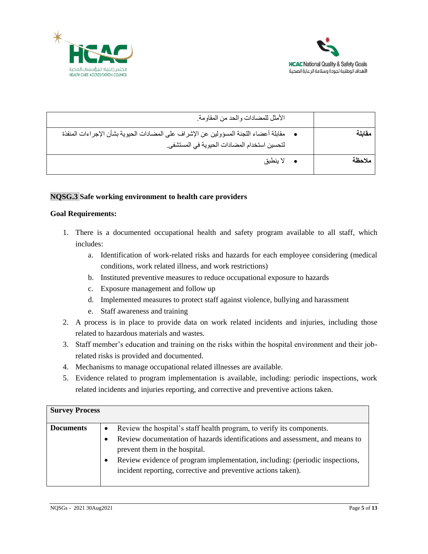



| الأمثل للمضادات والحد من المقاومة.                                                                                                                 |        |
|----------------------------------------------------------------------------------------------------------------------------------------------------|--------|
| مقابلة أعضاء اللجنة المسؤولين عن الإشراف على المضادات الحيوية بشأن الإجر اءات المنفذة<br>$\bullet$<br>لتحسين استخدام المضادات الحيوية في المستشفى. | مقابلة |
| لا ينطبق                                                                                                                                           | ملاحظة |
|                                                                                                                                                    |        |

## **NQSG.3 Safe working environment to health care providers**

- 1. There is a documented occupational health and safety program available to all staff, which includes:
	- a. Identification of work-related risks and hazards for each employee considering (medical conditions, work related illness, and work restrictions)
	- b. Instituted preventive measures to reduce occupational exposure to hazards
	- c. Exposure management and follow up
	- d. Implemented measures to protect staff against violence, bullying and harassment
	- e. Staff awareness and training
- 2. A process is in place to provide data on work related incidents and injuries, including those related to hazardous materials and wastes.
- 3. Staff member's education and training on the risks within the hospital environment and their jobrelated risks is provided and documented.
- 4. Mechanisms to manage occupational related illnesses are available.
- 5. Evidence related to program implementation is available, including: periodic inspections, work related incidents and injuries reporting, and corrective and preventive actions taken.

| <b>Survey Process</b> |           |                                                                                                                                                                                               |
|-----------------------|-----------|-----------------------------------------------------------------------------------------------------------------------------------------------------------------------------------------------|
| <b>Documents</b>      | $\bullet$ | Review the hospital's staff health program, to verify its components.                                                                                                                         |
|                       | ٠<br>٠    | Review documentation of hazards identifications and assessment, and means to<br>prevent them in the hospital.<br>Review evidence of program implementation, including: (periodic inspections, |
|                       |           | incident reporting, corrective and preventive actions taken).                                                                                                                                 |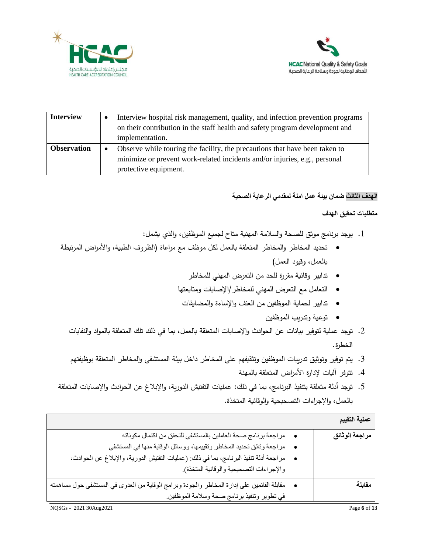



| <b>Interview</b>   | Interview hospital risk management, quality, and infection prevention programs<br>on their contribution in the staff health and safety program development and<br>implementation.  |
|--------------------|------------------------------------------------------------------------------------------------------------------------------------------------------------------------------------|
| <b>Observation</b> | Observe while touring the facility, the precautions that have been taken to<br>minimize or prevent work-related incidents and/or injuries, e.g., personal<br>protective equipment. |

# **الهدف الثالث ضمان بيئة عمل آمنة لمقدمي الرعاية الصحية**

- .1 يوجد برنامج موثق للصحة والسالمة المهنية متاح لجميع الموظفين، والذي يشمل:
- تحديد المخاطر والمخاطر المتعلقة بالعمل لكل موظف مع مراعاة )الظروف الطبية، واألمراض المرتبطة بالعمل، وقيود العمل(
	- تدابير وقائية مقررة للحد من التعرض المهني للمخاطر
	- التعامل مع التعرض المهني للمخاطر/اإلصابات ومتابعتها
	- تدابير لحماية الموظفين من العنف واإلساءة والمضايقات
		- توعية وتدريب الموظفين
	- .2 توجد عملية لتوفير بيانات عن الحوادث واإلصابات المتعلقة بالعمل، بما في ذلك تلك المتعلقة بالمواد والنفايات الخطرة.
	- .3 يتم توفير وتوثيق تدريبات الموظفين وتثقيفهم على المخاطر داخل بيئة المستشفى والمخاطر المتعلقة بوظيفتهم
		- .4 تتوفر آليات إلدارة األمراض المتعلقة بالمهنة
- .5 توجد أدلة متعلقة بتنفيذ البرنامج، بما في ذلك: عمليات التفتيش الدورية، واإلبالغ عن الحوادث واإلصابات المتعلقة بالعمل، واإلجراءات التصحيحية والوقائية المتخذة.

|                                                                                            | عملية التقييم  |
|--------------------------------------------------------------------------------------------|----------------|
| ●     مراجعة برنامج صحة العاملين بالمستشفى للتحقق من اكتمال مكوناته                        | مراجعة الوثائق |
| مر اجعة وثائق تحديد المخاطر وتقييمها، ووسائل الوقاية منها في المستشفى                      |                |
| مراجعة أدلة تنفيذ البرنامج، بما في ذلك: (عمليات التفتيش الدورية، والإبلاغ عن الحوادث،      |                |
| والإجراءات التصحيحية والوقائية المتخذة).                                                   |                |
| مقابلة القائمين على إدارة المخاطر والجودة وبرامج الوقاية من العدوي في المستشفى حول مساهمته | مقابلة         |
| في تطوير وتنفيذ برنامج صحة وسلامة الموظفين.                                                |                |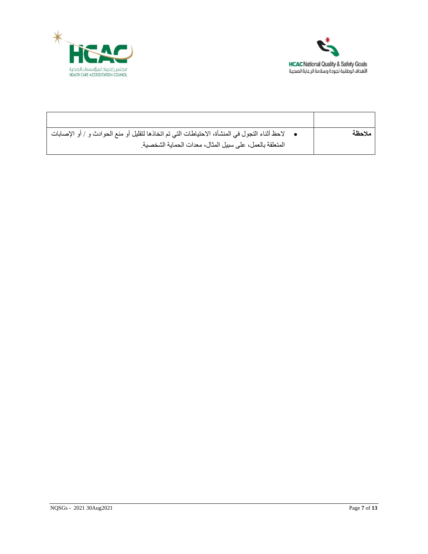



| •     لاحظ أثناء النجول في المنشأة، الاحتياطات التي تم اتخاذها لتقليل أو منع الحوادث و / أو الإصابات | ملاحظة |
|------------------------------------------------------------------------------------------------------|--------|
| المتعلقة بالعمل، على سبيل المثال، معدات الحماية الشخصية.                                             |        |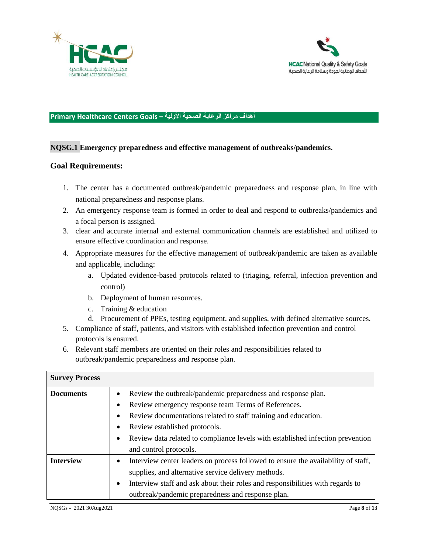



## **أهداف مراكز الرعاية الصحية األولية – Goals Centers Healthcare Primary**

## **NQSG.1 Emergency preparedness and effective management of outbreaks/pandemics.**

- 1. The center has a documented outbreak/pandemic preparedness and response plan, in line with national preparedness and response plans.
- 2. An emergency response team is formed in order to deal and respond to outbreaks/pandemics and a focal person is assigned.
- 3. clear and accurate internal and external communication channels are established and utilized to ensure effective coordination and response.
- 4. Appropriate measures for the effective management of outbreak/pandemic are taken as available and applicable, including:
	- a. Updated evidence-based protocols related to (triaging, referral, infection prevention and control)
	- b. Deployment of human resources.
	- c. Training & education
	- d. Procurement of PPEs, testing equipment, and supplies, with defined alternative sources.
- 5. Compliance of staff, patients, and visitors with established infection prevention and control protocols is ensured.
- 6. Relevant staff members are oriented on their roles and responsibilities related to outbreak/pandemic preparedness and response plan.

| <b>Survey Process</b> |                                                                                                |
|-----------------------|------------------------------------------------------------------------------------------------|
| <b>Documents</b>      | Review the outbreak/pandemic preparedness and response plan.<br>$\bullet$                      |
|                       | Review emergency response team Terms of References.<br>٠                                       |
|                       | Review documentations related to staff training and education.<br>٠                            |
|                       | Review established protocols.<br>٠                                                             |
|                       | Review data related to compliance levels with established infection prevention<br>$\bullet$    |
|                       | and control protocols.                                                                         |
| <b>Interview</b>      | Interview center leaders on process followed to ensure the availability of staff,<br>$\bullet$ |
|                       | supplies, and alternative service delivery methods.                                            |
|                       | Interview staff and ask about their roles and responsibilities with regards to<br>$\bullet$    |
|                       | outbreak/pandemic preparedness and response plan.                                              |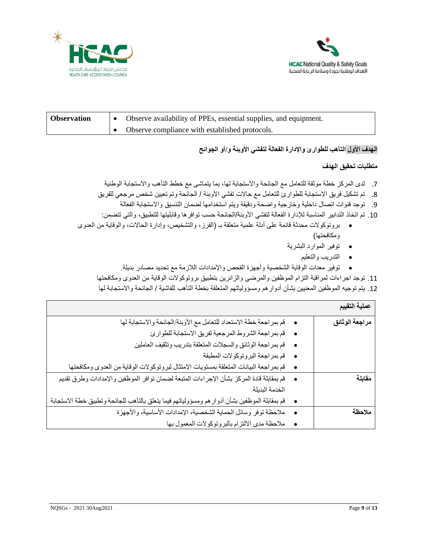



| <b>Observation</b> | Observe availability of PPEs, essential supplies, and equipment. |
|--------------------|------------------------------------------------------------------|
|                    | Observe compliance with established protocols.                   |

## **الهدف األول التأهب للطوارئ واإلدارة الفعالة لتفشي األوبئة و/أو الجوائح**

## **متطلبات تحقيق الهدف**

.7 لدى المركز خطة موثقة للتعامل مع الجائحة واالستجابة لها، بما يتماشى مع خطط التأهب واالستجابة الوطنية

- 8. تم تشكيل فريق الاستجابة للطوارئ للتعامل مع حالات تفشي الأوبئة / الجائحة وتم تعيين شخص مرجعي للفريق
- .9 توجد قنوات اتصال داخلية وخارجية واضحة ودقيقة ويتم استخدامها لضمان التنسيق واالستجابة الفعالة
- .10 تم اتخاذ التدابير المناسبة لإلدارة الفعالة لتفشي األوبئة/الجائحة حسب توافرها وقابليتها للتطبيق، والتي تتضمن:
- بروتوكوالت محدثة قائمة على أدلة علمية متعلقة بـ )الفرز، والتشخيص، وإدارة الحاالت، والوقاية من العدوى ومكافحتها(
	- توفير الموارد البشرية
		- التدريب والتعليم
	- توفير معدات الوقاية الشخصية وأجهزة الفحص واإلمدادات الالزمة مع تحديد مصادر بديلة.

.11 توجد اجراءات لمراقبة التزام الموظفين والمرضى والزائرين بتطبيق بروتوكوالت الوقاية من العدوى ومكافحتها .12 يتم توجيه الموظفين المعنيين بشأن أدوارهم ومسؤولياتهم المتعلقة بخطة التأهب للفاشية / الجائحة واالستجابة لها

| عملية التقييم               |                                                                                               |
|-----------------------------|-----------------------------------------------------------------------------------------------|
| مراجعة الوثائق<br>$\bullet$ | قم بمر اجعة خطة الاستعداد للتعامل مع الأوبئة/الجائحة والاستجابة لها                           |
|                             | قم بمراجعة الشروط المرجعية لفريق الاستجابة للطوارئ                                            |
| $\bullet$                   | قم بمر اجعة الوثائق والسجلات المتعلقة بتدريب وتثقيف العاملين                                  |
|                             | • قم بمراجعة البروتوكولات المطبقة                                                             |
| $\bullet$                   | قم بمر اجعة البيانات المتعلقة بمستويات الامتثال لبروتوكولات الوقاية من العدوى ومكافحتها       |
| مقابلة<br>$\bullet$         | قم بمقابلة قادة المركز بشأن الإجراءات المتبعة لضمان توافر الموظفين والإمدادات وطرق تقديم      |
|                             | الخدمة البديلة                                                                                |
| $\bullet$                   | قم بمقابلة الموظفين بشأن أدوار هم ومسؤولياتهم فيما يتعلق بالتأهب للجائحة وتطبيق خطة الاستجابة |
| ملاحظة<br>$\bullet$         | ملاحظة نوفر وسائل الحماية الشخصية، الإمدادات الأساسية، والأجهزة                               |
|                             | ملاحظة مدى الالتزام بالبروتوكولات المعمول بها                                                 |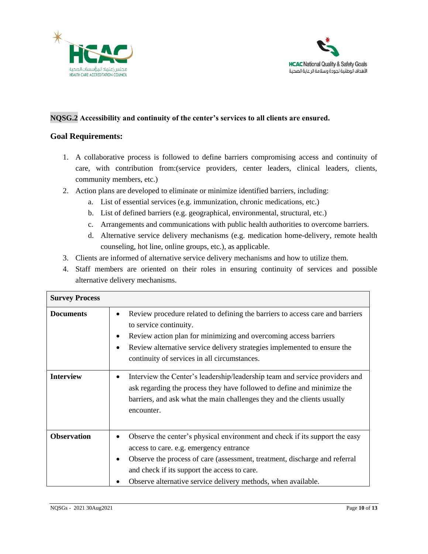



## **NQSG.2 Accessibility and continuity of the center's services to all clients are ensured.**

- 1. A collaborative process is followed to define barriers compromising access and continuity of care, with contribution from:(service providers, center leaders, clinical leaders, clients, community members, etc.)
- 2. Action plans are developed to eliminate or minimize identified barriers, including:
	- a. List of essential services (e.g. immunization, chronic medications, etc.)
	- b. List of defined barriers (e.g. geographical, environmental, structural, etc.)
	- c. Arrangements and communications with public health authorities to overcome barriers.
	- d. Alternative service delivery mechanisms (e.g. medication home-delivery, remote health counseling, hot line, online groups, etc.), as applicable.
- 3. Clients are informed of alternative service delivery mechanisms and how to utilize them.
- 4. Staff members are oriented on their roles in ensuring continuity of services and possible alternative delivery mechanisms.

| <b>Survey Process</b> |                                                                                                                                                                                                                                                                                                                                                 |
|-----------------------|-------------------------------------------------------------------------------------------------------------------------------------------------------------------------------------------------------------------------------------------------------------------------------------------------------------------------------------------------|
| <b>Documents</b>      | Review procedure related to defining the barriers to access care and barriers<br>$\bullet$<br>to service continuity.<br>Review action plan for minimizing and overcoming access barriers<br>٠<br>Review alternative service delivery strategies implemented to ensure the<br>$\bullet$<br>continuity of services in all circumstances.          |
| <b>Interview</b>      | Interview the Center's leadership/leadership team and service providers and<br>$\bullet$<br>ask regarding the process they have followed to define and minimize the<br>barriers, and ask what the main challenges they and the clients usually<br>encounter.                                                                                    |
| <b>Observation</b>    | Observe the center's physical environment and check if its support the easy<br>$\bullet$<br>access to care. e.g. emergency entrance<br>Observe the process of care (assessment, treatment, discharge and referral<br>$\bullet$<br>and check if its support the access to care.<br>Observe alternative service delivery methods, when available. |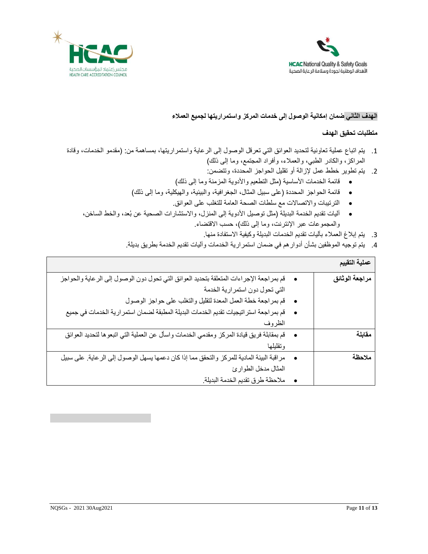



## **الهدف الثاني ضمان إمكانية الوصول إلى خدمات المركز واستمراريتها لجميع العمالء**

- .1 يتم اتباع عملية تعاونية لتحديد العوائق التي تعرقل الوصول إلى الرعاية واستمراريتها، بمساهمة من: )مقدمو الخدمات، وقادة المراكز، والكادر الطبي، والعملاء، وأفراد المجتمع، وما إلى ذلك)
	- .2 يتم تطوير خطط عمل إلزالة أو تقليل الحواجز المحددة، وتتضمن:
	- قائمة الخدمات األساسية )مثل التطعيم واألدوية المزمنة وما إلى ذلك(
	- قائمة الحواجز المحددة )على سبيل المثال، الجغرافية، والبيئية، والهيكلية، وما إلى ذلك(
		- الترتيبات واالتصاالت مع سلطات الصحة العامة للتغلب على العوائق.
	- آليات تقديم الخدمة البديلة )مثل توصيل األدوية إلى المنزل، واالستشارات الصحية عن بُعد، والخط الساخن، والمجموعات عبر الإنترنت، وما إلى ذلك)، حسب الاقتضاء.
		- 3. يتم إبلاغ العملاء بآليات تقديم الخدمات البديلة وكيفية الاستفادة منها.
		- .4 يتم توجيه الموظفين بشأن أدوارهم في ضمان استمرارية الخدمات وآليات تقديم الخدمة بطريق بديلة.

| عملية التقييم  |                                                                                           |
|----------------|-------------------------------------------------------------------------------------------|
| مراجعة الوثائق | قم بمر اجعة الإجراءات المتعلقة بتحديد العوائق التي تحول دون الوصول إلى الرعاية والحواجز   |
|                | التي تحول دون استمرارية الخدمة                                                            |
|                | قم بمراجعة خطة العمل المعدة لتقليل والتغلب على حواجز الوصول                               |
|                | قم بمر اجعة استر اتيجيات تقديم الخدمات البديلة المطبقة لضمان استمر ارية الخدمات في جميع   |
|                | الظروف                                                                                    |
| مقابلة         | قم بمقابلة فريق قيادة المركز ومقدمي الخدمات واسأل عن العملية التي اتبعوها لتحديد العوائق  |
|                | وتقليلها                                                                                  |
| ملاحظة         | مر اقبة البيئة المادية للمركز والتحقق مما إذا كان دعمها يسهل الوصول إلى الرعاية. على سبيل |
|                | المثال مدخل الطوارئ                                                                       |
|                | ملاحظة طرق تقديم الخدمة البديلة.                                                          |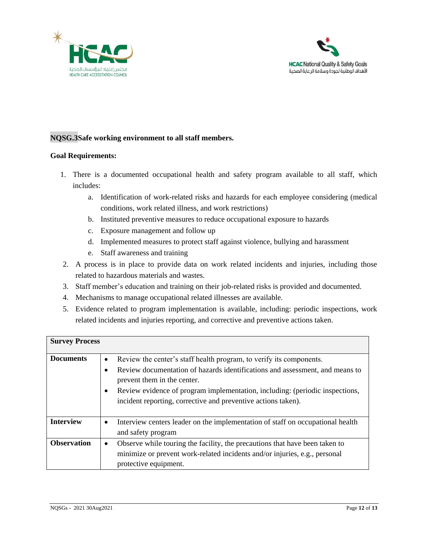![](_page_11_Picture_0.jpeg)

![](_page_11_Picture_1.jpeg)

## **NQSG.3Safe working environment to all staff members.**

- 1. There is a documented occupational health and safety program available to all staff, which includes:
	- a. Identification of work-related risks and hazards for each employee considering (medical conditions, work related illness, and work restrictions)
	- b. Instituted preventive measures to reduce occupational exposure to hazards
	- c. Exposure management and follow up
	- d. Implemented measures to protect staff against violence, bullying and harassment
	- e. Staff awareness and training
- 2. A process is in place to provide data on work related incidents and injuries, including those related to hazardous materials and wastes.
- 3. Staff member's education and training on their job-related risks is provided and documented.
- 4. Mechanisms to manage occupational related illnesses are available.
- 5. Evidence related to program implementation is available, including: periodic inspections, work related incidents and injuries reporting, and corrective and preventive actions taken.

| <b>Survey Process</b> |                                                                                                                                                    |
|-----------------------|----------------------------------------------------------------------------------------------------------------------------------------------------|
| <b>Documents</b>      | Review the center's staff health program, to verify its components.<br>$\bullet$                                                                   |
|                       | Review documentation of hazards identifications and assessment, and means to<br>prevent them in the center.                                        |
|                       | Review evidence of program implementation, including: (periodic inspections,<br>٠<br>incident reporting, corrective and preventive actions taken). |
|                       |                                                                                                                                                    |
| <b>Interview</b>      | Interview centers leader on the implementation of staff on occupational health<br>$\bullet$                                                        |
|                       | and safety program                                                                                                                                 |
| <b>Observation</b>    | Observe while touring the facility, the precautions that have been taken to<br>$\bullet$                                                           |
|                       | minimize or prevent work-related incidents and/or injuries, e.g., personal                                                                         |
|                       | protective equipment.                                                                                                                              |